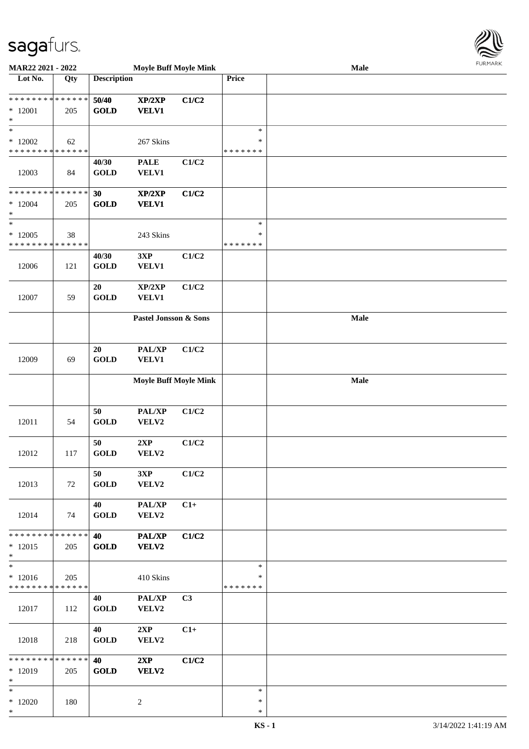

| <b>MAR22 2021 - 2022</b>                   |     |                                | <b>Moyle Buff Moyle Mink</b> |                | 1.911171717<br>Male |      |  |  |  |  |
|--------------------------------------------|-----|--------------------------------|------------------------------|----------------|---------------------|------|--|--|--|--|
| Lot No.                                    | Qty | <b>Description</b>             |                              |                | Price               |      |  |  |  |  |
|                                            |     |                                |                              |                |                     |      |  |  |  |  |
| * * * * * * * * <mark>* * * * * * *</mark> |     | 50/40                          | XP/2XP                       | C1/C2          |                     |      |  |  |  |  |
| $*12001$                                   | 205 | <b>GOLD</b>                    | <b>VELV1</b>                 |                |                     |      |  |  |  |  |
| *                                          |     |                                |                              |                |                     |      |  |  |  |  |
| $\ast$                                     |     |                                |                              |                | $\ast$              |      |  |  |  |  |
| $*12002$                                   | 62  |                                | 267 Skins                    |                | $\ast$              |      |  |  |  |  |
| * * * * * * * * <mark>* * * * * * *</mark> |     |                                |                              |                | * * * * * * *       |      |  |  |  |  |
|                                            |     | 40/30                          | <b>PALE</b>                  | C1/C2          |                     |      |  |  |  |  |
| 12003                                      | 84  | <b>GOLD</b>                    | <b>VELV1</b>                 |                |                     |      |  |  |  |  |
|                                            |     |                                |                              |                |                     |      |  |  |  |  |
| * * * * * * * * <mark>* * * * * * *</mark> |     | 30                             | XP/2XP                       | C1/C2          |                     |      |  |  |  |  |
| $*12004$                                   | 205 | <b>GOLD</b>                    | <b>VELV1</b>                 |                |                     |      |  |  |  |  |
| $\ast$                                     |     |                                |                              |                |                     |      |  |  |  |  |
| $\ast$                                     |     |                                |                              |                | $\ast$              |      |  |  |  |  |
| $*12005$                                   | 38  |                                | 243 Skins                    |                | $\ast$              |      |  |  |  |  |
| * * * * * * * * * * * * * *                |     |                                |                              |                | * * * * * * *       |      |  |  |  |  |
|                                            |     | 40/30                          | 3XP                          | C1/C2          |                     |      |  |  |  |  |
| 12006                                      | 121 | <b>GOLD</b>                    | VELV1                        |                |                     |      |  |  |  |  |
|                                            |     |                                |                              |                |                     |      |  |  |  |  |
|                                            |     | 20                             | XP/2XP                       | C1/C2          |                     |      |  |  |  |  |
| 12007                                      | 59  | <b>GOLD</b>                    |                              |                |                     |      |  |  |  |  |
|                                            |     |                                | VELV1                        |                |                     |      |  |  |  |  |
|                                            |     |                                |                              |                |                     |      |  |  |  |  |
|                                            |     |                                | Pastel Jonsson & Sons        |                |                     | Male |  |  |  |  |
|                                            |     |                                |                              |                |                     |      |  |  |  |  |
|                                            |     |                                |                              |                |                     |      |  |  |  |  |
|                                            |     | 20                             | PAL/XP                       | C1/C2          |                     |      |  |  |  |  |
| 12009                                      | 69  | <b>GOLD</b>                    | <b>VELV1</b>                 |                |                     |      |  |  |  |  |
|                                            |     |                                |                              |                |                     |      |  |  |  |  |
|                                            |     |                                | <b>Moyle Buff Moyle Mink</b> |                |                     | Male |  |  |  |  |
|                                            |     |                                |                              |                |                     |      |  |  |  |  |
|                                            |     |                                |                              |                |                     |      |  |  |  |  |
|                                            |     | 50                             | PAL/XP                       | C1/C2          |                     |      |  |  |  |  |
| 12011                                      | 54  | <b>GOLD</b>                    | VELV2                        |                |                     |      |  |  |  |  |
|                                            |     |                                |                              |                |                     |      |  |  |  |  |
|                                            |     | 50                             | 2XP                          | C1/C2          |                     |      |  |  |  |  |
| 12012                                      | 117 | <b>GOLD</b>                    | VELV2                        |                |                     |      |  |  |  |  |
|                                            |     |                                |                              |                |                     |      |  |  |  |  |
|                                            |     | 50                             | 3XP                          | C1/C2          |                     |      |  |  |  |  |
| 12013                                      | 72  | <b>GOLD</b>                    | VELV2                        |                |                     |      |  |  |  |  |
|                                            |     |                                |                              |                |                     |      |  |  |  |  |
|                                            |     | 40                             | PAL/XP                       | $C1+$          |                     |      |  |  |  |  |
| 12014                                      | 74  | <b>GOLD</b>                    | VELV2                        |                |                     |      |  |  |  |  |
|                                            |     |                                |                              |                |                     |      |  |  |  |  |
| * * * * * * * * * * * * * * *              |     | 40                             | PAL/XP                       | C1/C2          |                     |      |  |  |  |  |
| $*12015$                                   | 205 | $\operatorname{\mathbf{GOLD}}$ | <b>VELV2</b>                 |                |                     |      |  |  |  |  |
| $\ast$                                     |     |                                |                              |                |                     |      |  |  |  |  |
| $\ast$                                     |     |                                |                              |                | $\ast$              |      |  |  |  |  |
| $*12016$                                   | 205 |                                | 410 Skins                    |                | ∗                   |      |  |  |  |  |
| * * * * * * * * <mark>* * * * * *</mark>   |     |                                |                              |                | *******             |      |  |  |  |  |
|                                            |     | 40                             | PAL/XP                       | C <sub>3</sub> |                     |      |  |  |  |  |
| 12017                                      | 112 | <b>GOLD</b>                    | VELV2                        |                |                     |      |  |  |  |  |
|                                            |     |                                |                              |                |                     |      |  |  |  |  |
|                                            |     | 40                             | 2XP                          | $C1+$          |                     |      |  |  |  |  |
| 12018                                      | 218 | <b>GOLD</b>                    | VELV2                        |                |                     |      |  |  |  |  |
|                                            |     |                                |                              |                |                     |      |  |  |  |  |
| * * * * * * * * * * * * * * <mark>*</mark> |     | 40                             | 2XP                          | C1/C2          |                     |      |  |  |  |  |
| $*12019$                                   | 205 | <b>GOLD</b>                    | VELV2                        |                |                     |      |  |  |  |  |
| $\ast$                                     |     |                                |                              |                |                     |      |  |  |  |  |
| $\ast$                                     |     |                                |                              |                | $\ast$              |      |  |  |  |  |
| $*12020$                                   | 180 |                                | 2                            |                | $\ast$              |      |  |  |  |  |
| $\ast$                                     |     |                                |                              |                | $\ast$              |      |  |  |  |  |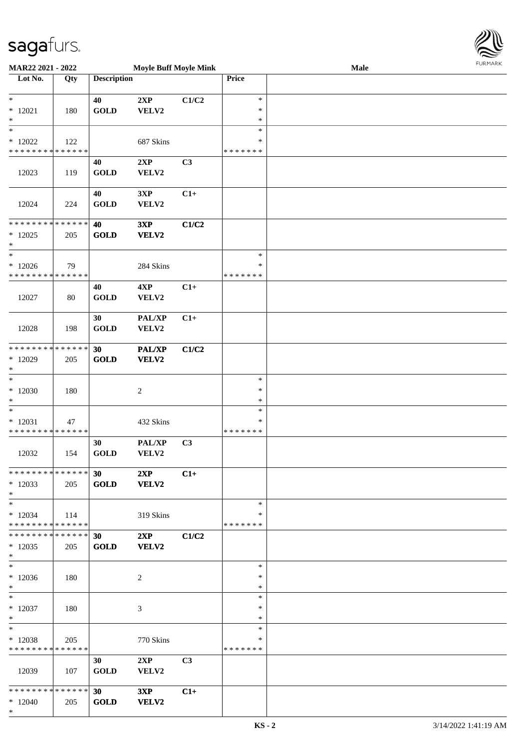\*



| <b>MAR22 2021 - 2022</b>                   |     |                    | <b>Moyle Buff Moyle Mink</b> |                |               | Male |  |
|--------------------------------------------|-----|--------------------|------------------------------|----------------|---------------|------|--|
| Lot No.                                    | Qty | <b>Description</b> |                              |                | Price         |      |  |
|                                            |     |                    |                              |                |               |      |  |
| $\ast$                                     |     | 40                 | 2XP                          | C1/C2          | $\ast$        |      |  |
| $*12021$                                   | 180 | <b>GOLD</b>        | ${\bf VELV2}$                |                | $\ast$        |      |  |
| $\ast$                                     |     |                    |                              |                | $\ast$        |      |  |
| $_{*}$                                     |     |                    |                              |                | $\ast$        |      |  |
| $*12022$                                   | 122 |                    | 687 Skins                    |                | ∗             |      |  |
| * * * * * * * * <mark>* * * * * * *</mark> |     |                    |                              |                | * * * * * * * |      |  |
|                                            |     |                    |                              |                |               |      |  |
|                                            |     | 40                 | 2XP                          | C3             |               |      |  |
| 12023                                      | 119 | <b>GOLD</b>        | VELV2                        |                |               |      |  |
|                                            |     |                    |                              |                |               |      |  |
|                                            |     | 40                 | 3XP                          | $C1+$          |               |      |  |
| 12024                                      | 224 | <b>GOLD</b>        | VELV2                        |                |               |      |  |
|                                            |     |                    |                              |                |               |      |  |
| * * * * * * * * * * * * * *                |     | 40                 | 3XP                          | C1/C2          |               |      |  |
| $*12025$                                   | 205 | <b>GOLD</b>        | VELV2                        |                |               |      |  |
| *                                          |     |                    |                              |                |               |      |  |
| $\ast$                                     |     |                    |                              |                | $\ast$        |      |  |
|                                            |     |                    |                              |                | $\ast$        |      |  |
| $*12026$                                   | 79  |                    | 284 Skins                    |                |               |      |  |
| * * * * * * * * * * * * * *                |     |                    |                              |                | * * * * * * * |      |  |
|                                            |     | 40                 | 4XP                          | $C1+$          |               |      |  |
| 12027                                      | 80  | <b>GOLD</b>        | VELV2                        |                |               |      |  |
|                                            |     |                    |                              |                |               |      |  |
|                                            |     | 30                 | PAL/XP                       | $C1+$          |               |      |  |
| 12028                                      | 198 | <b>GOLD</b>        | VELV2                        |                |               |      |  |
|                                            |     |                    |                              |                |               |      |  |
| * * * * * * * * <mark>* * * * * * *</mark> |     | 30                 | <b>PAL/XP</b>                | C1/C2          |               |      |  |
| $*12029$                                   | 205 | <b>GOLD</b>        | VELV2                        |                |               |      |  |
| $\ast$                                     |     |                    |                              |                |               |      |  |
| $\ast$                                     |     |                    |                              |                |               |      |  |
|                                            |     |                    |                              |                | $\ast$        |      |  |
| $*12030$                                   | 180 |                    | $\overline{c}$               |                | $\ast$        |      |  |
| $\ast$                                     |     |                    |                              |                | $\ast$        |      |  |
| $\ast$                                     |     |                    |                              |                | $\ast$        |      |  |
| $*12031$                                   | 47  |                    | 432 Skins                    |                | $\ast$        |      |  |
| * * * * * * * * * * * * * *                |     |                    |                              |                | * * * * * * * |      |  |
|                                            |     | 30                 | PAL/XP                       | C3             |               |      |  |
| 12032                                      | 154 | <b>GOLD</b>        | VELV2                        |                |               |      |  |
|                                            |     |                    |                              |                |               |      |  |
| ******** <mark>******</mark>               |     | 30 <sup>°</sup>    | 2XP                          | $C1+$          |               |      |  |
|                                            |     |                    |                              |                |               |      |  |
| $*12033$                                   | 205 | <b>GOLD</b>        | <b>VELV2</b>                 |                |               |      |  |
| $*$                                        |     |                    |                              |                |               |      |  |
| $*$ $-$                                    |     |                    |                              |                | $\ast$        |      |  |
| $*12034$                                   | 114 |                    | 319 Skins                    |                | ∗             |      |  |
| * * * * * * * * * * * * * *                |     |                    |                              |                | *******       |      |  |
| * * * * * * * * <mark>* * * * * * *</mark> |     | 30                 | 2XP                          | C1/C2          |               |      |  |
| $*12035$                                   | 205 | <b>GOLD</b>        | <b>VELV2</b>                 |                |               |      |  |
| $\ast$                                     |     |                    |                              |                |               |      |  |
| $\ast$                                     |     |                    |                              |                | $\ast$        |      |  |
| $*12036$                                   | 180 |                    | 2                            |                | $\ast$        |      |  |
|                                            |     |                    |                              |                | $\ast$        |      |  |
| $*$<br>$\ddot{x}$                          |     |                    |                              |                |               |      |  |
|                                            |     |                    |                              |                | $\ast$        |      |  |
| $*12037$                                   | 180 |                    | 3                            |                | $\ast$        |      |  |
| $*$                                        |     |                    |                              |                | $\ast$        |      |  |
| $*$ $-$                                    |     |                    |                              |                | $\ast$        |      |  |
| $*12038$                                   | 205 |                    | 770 Skins                    |                | ∗             |      |  |
| * * * * * * * * <mark>* * * * * *</mark>   |     |                    |                              |                | *******       |      |  |
|                                            |     | 30 <sup>1</sup>    | 2XP                          | C <sub>3</sub> |               |      |  |
| 12039                                      | 107 | <b>GOLD</b>        | VELV2                        |                |               |      |  |
|                                            |     |                    |                              |                |               |      |  |
| * * * * * * * * * * * * * * *              |     |                    |                              |                |               |      |  |
|                                            |     | 30                 | 3XP                          | $C1+$          |               |      |  |
| $*12040$                                   | 205 | <b>GOLD</b>        | <b>VELV2</b>                 |                |               |      |  |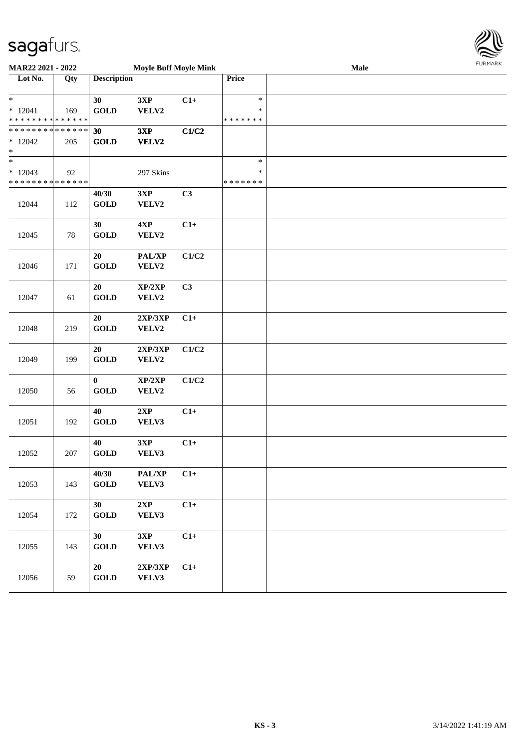

| <b>MAR22 2021 - 2022</b>                                                    |     |                         | <b>Moyle Buff Moyle Mink</b> |       | 1.911171717<br><b>Male</b>        |  |  |  |  |  |
|-----------------------------------------------------------------------------|-----|-------------------------|------------------------------|-------|-----------------------------------|--|--|--|--|--|
| Lot No.                                                                     | Qty | <b>Description</b>      |                              |       | Price                             |  |  |  |  |  |
| $\ast$<br>$* 12041$<br>* * * * * * * * <mark>* * * * * * *</mark>           | 169 | 30<br><b>GOLD</b>       | 3XP<br>VELV2                 | $C1+$ | $\ast$<br>$\ast$<br>* * * * * * * |  |  |  |  |  |
| ******** <mark>******</mark><br>$*12042$<br>$\ast$                          | 205 | 30<br><b>GOLD</b>       | 3XP<br><b>VELV2</b>          | C1/C2 |                                   |  |  |  |  |  |
| $\overline{\ast}$<br>$*12043$<br>* * * * * * * * <mark>* * * * * * *</mark> | 92  |                         | 297 Skins                    |       | $\ast$<br>$\ast$<br>* * * * * * * |  |  |  |  |  |
| 12044                                                                       | 112 | 40/30<br><b>GOLD</b>    | 3XP<br>VELV2                 | C3    |                                   |  |  |  |  |  |
| 12045                                                                       | 78  | 30<br><b>GOLD</b>       | 4XP<br>VELV2                 | $C1+$ |                                   |  |  |  |  |  |
| 12046                                                                       | 171 | $20\,$<br><b>GOLD</b>   | PAL/XP<br>VELV2              | C1/C2 |                                   |  |  |  |  |  |
| 12047                                                                       | 61  | 20<br><b>GOLD</b>       | XP/2XP<br>VELV2              | C3    |                                   |  |  |  |  |  |
| 12048                                                                       | 219 | 20<br><b>GOLD</b>       | 2XP/3XP<br>VELV2             | $C1+$ |                                   |  |  |  |  |  |
| 12049                                                                       | 199 | 20<br><b>GOLD</b>       | 2XP/3XP<br>VELV2             | C1/C2 |                                   |  |  |  |  |  |
| 12050                                                                       | 56  | $\bf{0}$<br><b>GOLD</b> | XP/2XP<br>VELV2              | C1/C2 |                                   |  |  |  |  |  |
| 12051                                                                       | 192 | 40<br><b>GOLD</b>       | 2XP<br>VELV3                 | $C1+$ |                                   |  |  |  |  |  |
| 12052                                                                       | 207 | 40<br><b>GOLD</b>       | 3XP<br>VELV3                 | $C1+$ |                                   |  |  |  |  |  |
| 12053                                                                       | 143 | 40/30<br><b>GOLD</b>    | PAL/XP<br>VELV3              | $C1+$ |                                   |  |  |  |  |  |
| 12054                                                                       | 172 | 30<br><b>GOLD</b>       | 2XP<br>VELV3                 | $C1+$ |                                   |  |  |  |  |  |
| 12055                                                                       | 143 | 30<br><b>GOLD</b>       | 3XP<br>VELV3                 | $C1+$ |                                   |  |  |  |  |  |
| 12056                                                                       | 59  | 20<br><b>GOLD</b>       | 2XP/3XP<br>VELV3             | $C1+$ |                                   |  |  |  |  |  |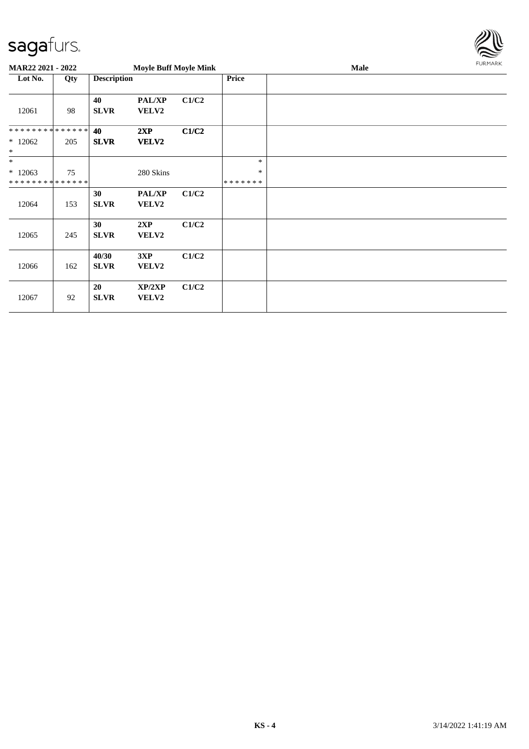

| <b>MAR22 2021 - 2022</b>                          |     |                      | <b>Moyle Buff Moyle Mink</b> |       |                             | Male | <b>FURMARK</b> |
|---------------------------------------------------|-----|----------------------|------------------------------|-------|-----------------------------|------|----------------|
| Lot No.                                           | Qty | <b>Description</b>   |                              |       | <b>Price</b>                |      |                |
| 12061                                             | 98  | 40<br><b>SLVR</b>    | PAL/XP<br><b>VELV2</b>       | C1/C2 |                             |      |                |
| * * * * * * * * * * * * * *<br>$*12062$<br>$\ast$ | 205 | 40<br><b>SLVR</b>    | 2XP<br><b>VELV2</b>          | C1/C2 |                             |      |                |
| $\ast$<br>$*12063$<br>* * * * * * * * * * * * * * | 75  |                      | 280 Skins                    |       | $\ast$<br>$\ast$<br>******* |      |                |
| 12064                                             | 153 | 30<br><b>SLVR</b>    | PAL/XP<br>VELV2              | C1/C2 |                             |      |                |
| 12065                                             | 245 | 30<br><b>SLVR</b>    | 2XP<br>VELV2                 | C1/C2 |                             |      |                |
| 12066                                             | 162 | 40/30<br><b>SLVR</b> | 3XP<br>VELV2                 | C1/C2 |                             |      |                |
| 12067                                             | 92  | 20<br><b>SLVR</b>    | XP/2XP<br>VELV2              | C1/C2 |                             |      |                |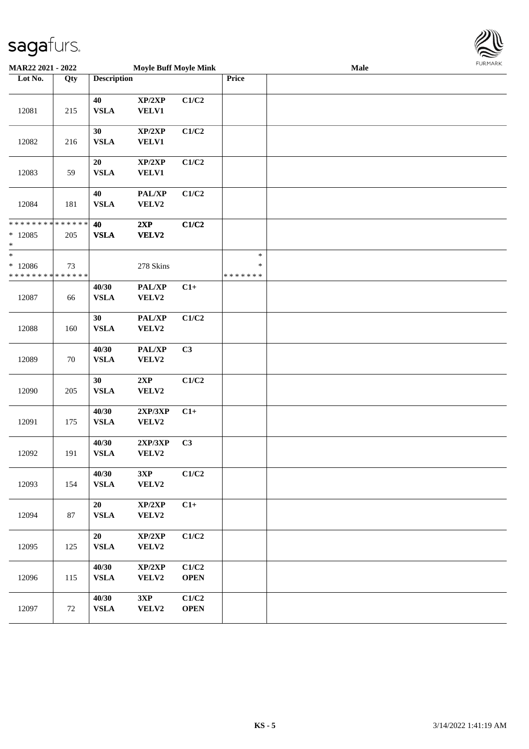

| MAR22 2021 - 2022                                 |     |                       | FURMARK                             |                      |                                   |  |  |
|---------------------------------------------------|-----|-----------------------|-------------------------------------|----------------------|-----------------------------------|--|--|
| Lot No.                                           | Qty | <b>Description</b>    |                                     |                      | Price                             |  |  |
| 12081                                             | 215 | 40<br><b>VSLA</b>     | XP/2XP<br><b>VELV1</b>              | C1/C2                |                                   |  |  |
| 12082                                             | 216 | 30<br><b>VSLA</b>     | XP/2XP<br><b>VELV1</b>              | C1/C2                |                                   |  |  |
| 12083                                             | 59  | 20<br><b>VSLA</b>     | XP/2XP<br><b>VELV1</b>              | C1/C2                |                                   |  |  |
| 12084                                             | 181 | 40<br><b>VSLA</b>     | PAL/XP<br>VELV2                     | C1/C2                |                                   |  |  |
| * * * * * * * * * * * * * *<br>$*12085$<br>$\ast$ | 205 | 40<br><b>VSLA</b>     | 2XP<br>VELV2                        | C1/C2                |                                   |  |  |
| $_{*}$<br>$*12086$<br>* * * * * * * * * * * * * * | 73  |                       | 278 Skins                           |                      | $\ast$<br>$\ast$<br>* * * * * * * |  |  |
| 12087                                             | 66  | 40/30<br><b>VSLA</b>  | PAL/XP<br>VELV2                     | $C1+$                |                                   |  |  |
| 12088                                             | 160 | 30<br><b>VSLA</b>     | <b>PAL/XP</b><br>VELV2              | C1/C2                |                                   |  |  |
| 12089                                             | 70  | 40/30<br><b>VSLA</b>  | PAL/XP<br>VELV2                     | C3                   |                                   |  |  |
| 12090                                             | 205 | 30<br><b>VSLA</b>     | $2{\bf XP}$<br>VELV2                | C1/C2                |                                   |  |  |
| 12091                                             | 175 | 40/30<br><b>VSLA</b>  | 2XP/3XP<br>VELV2                    | $C1+$                |                                   |  |  |
| 12092                                             | 191 | 40/30<br><b>VSLA</b>  | 2XP/3XP<br>VELV2                    | C3                   |                                   |  |  |
| 12093                                             | 154 | 40/30<br><b>VSLA</b>  | 3XP<br>VELV2                        | C1/C2                |                                   |  |  |
| 12094                                             | 87  | 20<br><b>VSLA</b>     | XP/2XP<br>VELV2                     | $C1+$                |                                   |  |  |
| 12095                                             | 125 | 20<br><b>VSLA</b>     | XP/2XP<br>VELV2                     | C1/C2                |                                   |  |  |
| 12096                                             | 115 | 40/30<br><b>VSLA</b>  | $\mathbf{XP}/2\mathbf{XP}$<br>VELV2 | C1/C2<br><b>OPEN</b> |                                   |  |  |
| 12097                                             | 72  | 40/30<br>${\bf VSLA}$ | 3XP<br>VELV2                        | C1/C2<br><b>OPEN</b> |                                   |  |  |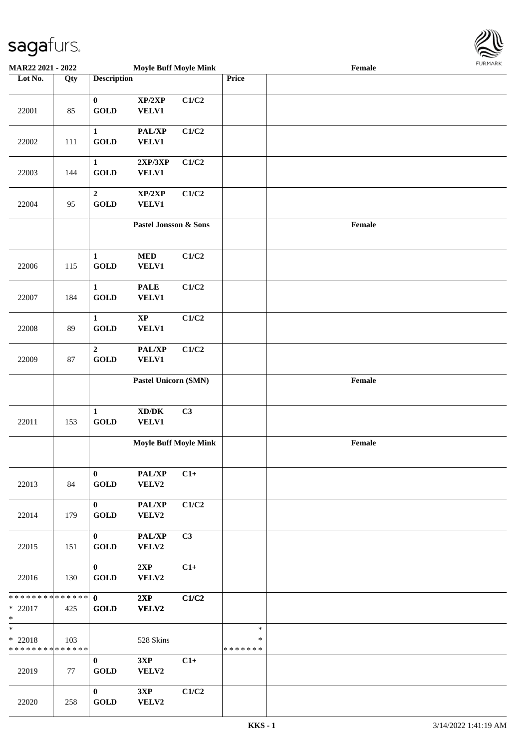

| MAR22 2021 - 2022                                               |     |                                       | <b>Moyle Buff Moyle Mink</b>                 |       |                             | <b>FUNITANN</b> |  |
|-----------------------------------------------------------------|-----|---------------------------------------|----------------------------------------------|-------|-----------------------------|-----------------|--|
| Lot No.                                                         | Qty | <b>Description</b>                    |                                              |       | Price                       |                 |  |
| 22001                                                           | 85  | $\mathbf{0}$<br><b>GOLD</b>           | XP/2XP<br>VELV1                              | C1/C2 |                             |                 |  |
| 22002                                                           | 111 | $\mathbf{1}$<br><b>GOLD</b>           | PAL/XP<br><b>VELV1</b>                       | C1/C2 |                             |                 |  |
| 22003                                                           | 144 | $\mathbf{1}$<br><b>GOLD</b>           | 2XP/3XP<br><b>VELV1</b>                      | C1/C2 |                             |                 |  |
| 22004                                                           | 95  | $\boldsymbol{2}$<br><b>GOLD</b>       | XP/2XP<br><b>VELV1</b>                       | C1/C2 |                             |                 |  |
|                                                                 |     |                                       | Pastel Jonsson & Sons                        |       |                             | Female          |  |
| 22006                                                           | 115 | $\mathbf{1}$<br><b>GOLD</b>           | $\bf MED$<br>VELV1                           | C1/C2 |                             |                 |  |
| 22007                                                           | 184 | $\mathbf{1}$<br><b>GOLD</b>           | <b>PALE</b><br><b>VELV1</b>                  | C1/C2 |                             |                 |  |
| 22008                                                           | 89  | $\mathbf{1}$<br><b>GOLD</b>           | $\bold{XP}$<br>VELV1                         | C1/C2 |                             |                 |  |
| 22009                                                           | 87  | $\mathbf{2}$<br><b>GOLD</b>           | PAL/XP<br>VELV1                              | C1/C2 |                             |                 |  |
|                                                                 |     |                                       | Pastel Unicorn (SMN)                         |       |                             | Female          |  |
| 22011                                                           | 153 | $\mathbf{1}$<br><b>GOLD</b>           | $\bold{X}\bold{D}/\bold{D}\bold{K}$<br>VELV1 | C3    |                             |                 |  |
|                                                                 |     |                                       | <b>Moyle Buff Moyle Mink</b>                 |       |                             | Female          |  |
| 22013                                                           | 84  | $\mathbf{0}$<br>$\operatorname{GOLD}$ | PAL/XP<br><b>VELV2</b>                       | $C1+$ |                             |                 |  |
| 22014                                                           | 179 | $\mathbf{0}$<br><b>GOLD</b>           | PAL/XP<br>VELV2                              | C1/C2 |                             |                 |  |
| 22015                                                           | 151 | $\mathbf{0}$<br><b>GOLD</b>           | PAL/XP<br>VELV2                              | C3    |                             |                 |  |
| 22016                                                           | 130 | $\mathbf{0}$<br><b>GOLD</b>           | 2XP<br>VELV2                                 | $C1+$ |                             |                 |  |
| * * * * * * * * * * * * * * <mark>*</mark><br>* 22017<br>$\ast$ | 425 | $\mathbf{0}$<br><b>GOLD</b>           | 2XP<br>VELV2                                 | C1/C2 |                             |                 |  |
| $\ast$<br>$*$ 22018<br>* * * * * * * * <mark>* * * * * *</mark> | 103 |                                       | 528 Skins                                    |       | $\ast$<br>$\ast$<br>******* |                 |  |
| 22019                                                           | 77  | $\mathbf{0}$<br><b>GOLD</b>           | 3XP<br>VELV2                                 | $C1+$ |                             |                 |  |
| 22020                                                           | 258 | $\mathbf{0}$<br><b>GOLD</b>           | 3XP<br>VELV2                                 | C1/C2 |                             |                 |  |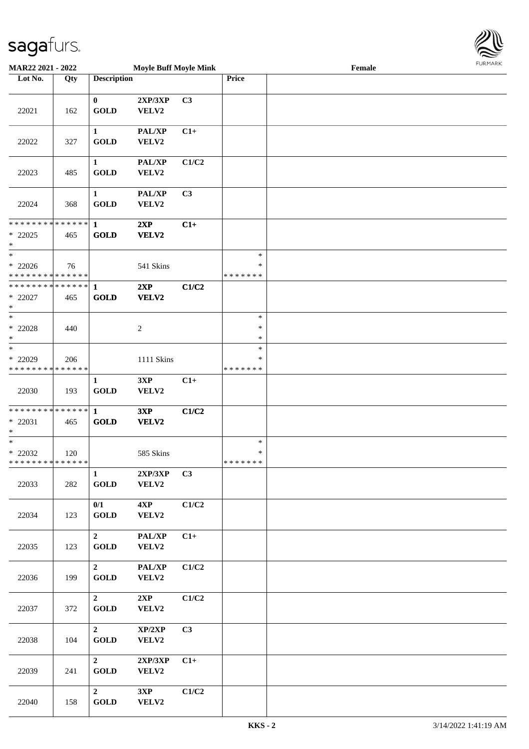

| MAR22 2021 - 2022                                                 |     |                                       | <b>Moyle Buff Moyle Mink</b> |       |                                   | Female |  |
|-------------------------------------------------------------------|-----|---------------------------------------|------------------------------|-------|-----------------------------------|--------|--|
| Lot No.                                                           | Qty | <b>Description</b>                    |                              |       | Price                             |        |  |
| 22021                                                             | 162 | $\bf{0}$<br><b>GOLD</b>               | 2XP/3XP<br>VELV2             | C3    |                                   |        |  |
| 22022                                                             | 327 | $\mathbf{1}$<br>$\operatorname{GOLD}$ | PAL/XP<br>VELV2              | $C1+$ |                                   |        |  |
| 22023                                                             | 485 | $\mathbf{1}$<br><b>GOLD</b>           | PAL/XP<br>VELV2              | C1/C2 |                                   |        |  |
| 22024                                                             | 368 | $\mathbf{1}$<br><b>GOLD</b>           | PAL/XP<br>VELV2              | C3    |                                   |        |  |
| * * * * * * * * <mark>* * * * * * *</mark><br>$*$ 22025<br>$\ast$ | 465 | $\mathbf{1}$<br><b>GOLD</b>           | 2XP<br>VELV2                 | $C1+$ |                                   |        |  |
| $\ast$<br>$* 22026$<br>* * * * * * * * * * * * * *                | 76  |                                       | 541 Skins                    |       | $\ast$<br>$\ast$<br>* * * * * * * |        |  |
| * * * * * * * * <mark>* * * * * * *</mark><br>$*$ 22027<br>$*$    | 465 | $\mathbf{1}$<br><b>GOLD</b>           | 2XP<br>VELV2                 | C1/C2 |                                   |        |  |
| $*$<br>$*$ 22028<br>$\ast$                                        | 440 |                                       | $\overline{2}$               |       | $\ast$<br>$\ast$<br>$\ast$        |        |  |
| $*$<br>* 22029<br>* * * * * * * * * * * * * *                     | 206 |                                       | 1111 Skins                   |       | $\ast$<br>∗<br>* * * * * * *      |        |  |
| 22030                                                             | 193 | $\mathbf{1}$<br><b>GOLD</b>           | 3XP<br>VELV2                 | $C1+$ |                                   |        |  |
| * * * * * * * * <mark>* * * * * * *</mark><br>$* 22031$<br>$*$    | 465 | $\mathbf{1}$<br><b>GOLD</b>           | 3XP<br>VELV2                 | C1/C2 |                                   |        |  |
| $*$<br>$*$ 22032<br>* * * * * * * * * * * * * * *                 | 120 |                                       | 585 Skins                    |       | $\ast$<br>$\ast$<br>*******       |        |  |
| 22033                                                             | 282 | $\mathbf{1}$<br>$\operatorname{GOLD}$ | 2XP/3XP<br>VELV2             | C3    |                                   |        |  |
| 22034                                                             | 123 | 0/1<br>$\operatorname{GOLD}$          | 4XP<br>VELV2                 | C1/C2 |                                   |        |  |
| 22035                                                             | 123 | $\overline{2}$<br>GOLD                | PAL/XP<br>VELV2              | $C1+$ |                                   |        |  |
| 22036                                                             | 199 | $\overline{2}$<br>GOLD                | PAL/XP<br>VELV2              | C1/C2 |                                   |        |  |
| 22037                                                             | 372 | $\overline{2}$<br><b>GOLD</b>         | 2XP<br>VELV2                 | C1/C2 |                                   |        |  |
| 22038                                                             | 104 | $\overline{2}$<br><b>GOLD</b>         | XP/2XP<br>VELV2              | C3    |                                   |        |  |
| 22039                                                             | 241 | $2^{\circ}$<br>GOLD                   | 2XP/3XP<br>VELV2             | $C1+$ |                                   |        |  |
| 22040                                                             | 158 | $\overline{2}$<br>GOLD                | 3XP<br>VELV2                 | C1/C2 |                                   |        |  |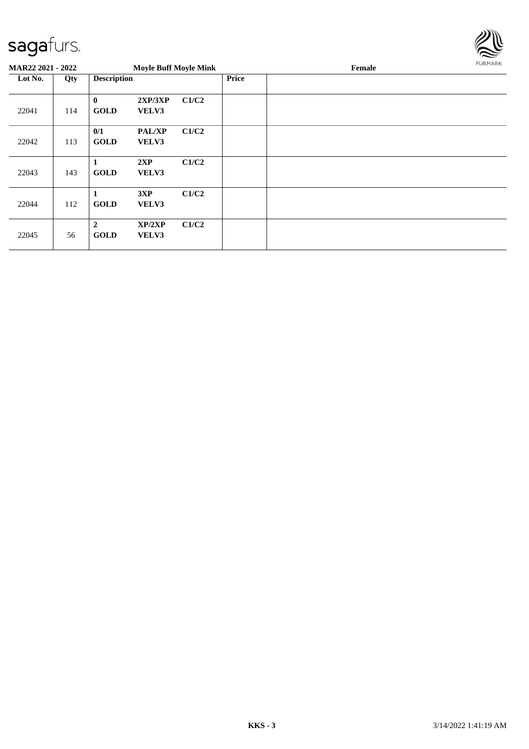

| <b>MAR22 2021 - 2022</b> |     |                               | <b>Moyle Buff Moyle Mink</b> |       |              | Female | FURMARK |  |
|--------------------------|-----|-------------------------------|------------------------------|-------|--------------|--------|---------|--|
| Lot No.                  | Qty | <b>Description</b>            |                              |       | <b>Price</b> |        |         |  |
| 22041                    | 114 | $\bf{0}$<br><b>GOLD</b>       | 2XP/3XP<br>VELV3             | C1/C2 |              |        |         |  |
| 22042                    | 113 | 0/1<br><b>GOLD</b>            | <b>PAL/XP</b><br>VELV3       | C1/C2 |              |        |         |  |
| 22043                    | 143 | 1<br><b>GOLD</b>              | 2XP<br>VELV3                 | C1/C2 |              |        |         |  |
| 22044                    | 112 | 1<br><b>GOLD</b>              | 3XP<br>VELV3                 | C1/C2 |              |        |         |  |
| 22045                    | 56  | $\overline{2}$<br><b>GOLD</b> | XP/2XP<br>VELV3              | C1/C2 |              |        |         |  |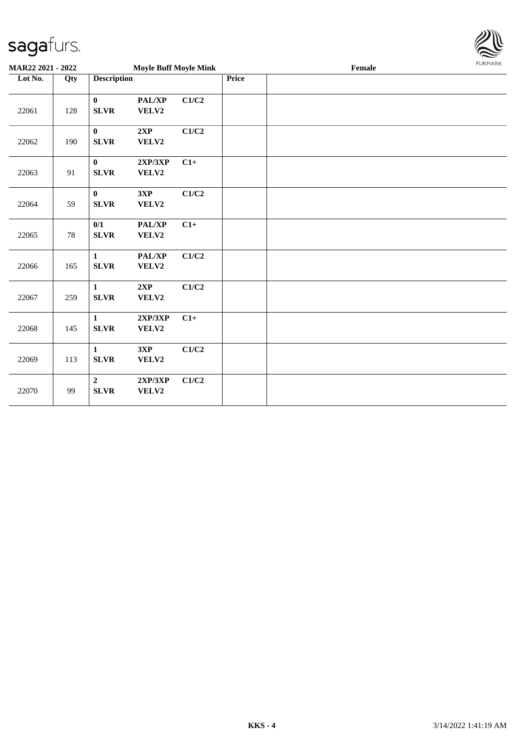

| MAR22 2021 - 2022 |        |                               | <b>Moyle Buff Moyle Mink</b> |       |  | Female | <b>FURMARK</b> |  |
|-------------------|--------|-------------------------------|------------------------------|-------|--|--------|----------------|--|
| Lot No.           | Qty    |                               | <b>Description</b>           |       |  |        |                |  |
| 22061             | 128    | $\bf{0}$<br><b>SLVR</b>       | PAL/XP<br>VELV2              | C1/C2 |  |        |                |  |
| 22062             | 190    | $\bf{0}$<br><b>SLVR</b>       | 2XP<br>VELV2                 | C1/C2 |  |        |                |  |
| 22063             | 91     | $\bf{0}$<br><b>SLVR</b>       | 2XP/3XP<br>VELV2             | $C1+$ |  |        |                |  |
| 22064             | 59     | $\mathbf{0}$<br><b>SLVR</b>   | 3XP<br>VELV2                 | C1/C2 |  |        |                |  |
| 22065             | $78\,$ | 0/1<br><b>SLVR</b>            | <b>PAL/XP</b><br>VELV2       | $C1+$ |  |        |                |  |
| 22066             | 165    | $\mathbf{1}$<br><b>SLVR</b>   | <b>PAL/XP</b><br>VELV2       | C1/C2 |  |        |                |  |
| 22067             | 259    | $\mathbf 1$<br><b>SLVR</b>    | 2XP<br>VELV2                 | C1/C2 |  |        |                |  |
| 22068             | 145    | $\mathbf{1}$<br><b>SLVR</b>   | 2XP/3XP<br>VELV2             | $C1+$ |  |        |                |  |
| 22069             | 113    | $\mathbf{1}$<br><b>SLVR</b>   | 3XP<br>VELV2                 | C1/C2 |  |        |                |  |
| 22070             | 99     | $\overline{2}$<br><b>SLVR</b> | 2XP/3XP<br>VELV2             | C1/C2 |  |        |                |  |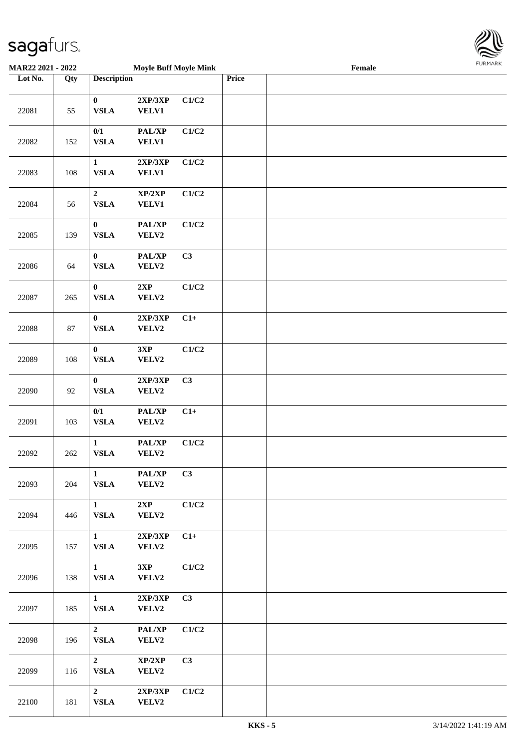

| <b>MAR22 2021 - 2022</b> |     |                                | <b>Moyle Buff Moyle Mink</b>        |       |       | Female |  |
|--------------------------|-----|--------------------------------|-------------------------------------|-------|-------|--------|--|
| Lot No.                  | Qty | <b>Description</b>             |                                     |       | Price |        |  |
| 22081                    | 55  | $\bf{0}$<br><b>VSLA</b>        | 2XP/3XP<br><b>VELV1</b>             | C1/C2 |       |        |  |
| 22082                    | 152 | 0/1<br>${\bf VSLA}$            | PAL/XP<br><b>VELV1</b>              | C1/C2 |       |        |  |
| 22083                    | 108 | $\mathbf{1}$<br><b>VSLA</b>    | 2XP/3XP<br><b>VELV1</b>             | C1/C2 |       |        |  |
| 22084                    | 56  | $\mathbf 2$<br><b>VSLA</b>     | XP/2XP<br><b>VELV1</b>              | C1/C2 |       |        |  |
| 22085                    | 139 | $\bf{0}$<br>${\bf VSLA}$       | PAL/XP<br>VELV2                     | C1/C2 |       |        |  |
| 22086                    | 64  | $\bf{0}$<br><b>VSLA</b>        | PAL/XP<br>VELV2                     | C3    |       |        |  |
| 22087                    | 265 | $\bf{0}$<br>${\bf VSLA}$       | 2XP<br>VELV2                        | C1/C2 |       |        |  |
| 22088                    | 87  | $\bf{0}$<br>${\bf VSLA}$       | 2XP/3XP<br>VELV2                    | $C1+$ |       |        |  |
| 22089                    | 108 | $\bf{0}$<br><b>VSLA</b>        | 3XP<br>VELV2                        | C1/C2 |       |        |  |
| 22090                    | 92  | $\bf{0}$<br>${\bf VSLA}$       | 2XP/3XP<br>VELV2                    | C3    |       |        |  |
| 22091                    | 103 | 0/1<br>${\bf VSLA}$            | PAL/XP<br>VELV2                     | $C1+$ |       |        |  |
| 22092                    | 262 | $\mathbf{1}$<br>${\bf VSLA}$   | PAL/XP<br>VELV2                     | C1/C2 |       |        |  |
| 22093                    | 204 | $\mathbf{1}$<br><b>VSLA</b>    | PAL/XP<br>VELV2                     | C3    |       |        |  |
| 22094                    | 446 | $\mathbf{1}$<br><b>VSLA</b>    | 2XP<br>VELV2                        | C1/C2 |       |        |  |
| 22095                    | 157 | $\mathbf{1}$<br><b>VSLA</b>    | 2XP/3XP<br>VELV2                    | $C1+$ |       |        |  |
| 22096                    | 138 | $\mathbf{1}$<br><b>VSLA</b>    | 3XP<br><b>VELV2</b>                 | C1/C2 |       |        |  |
| 22097                    | 185 | $\mathbf{1}$<br><b>VSLA</b>    | 2XP/3XP<br>VELV2                    | C3    |       |        |  |
| 22098                    | 196 | $2^{\circ}$<br><b>VSLA</b>     | $\mathbf{PAL}/\mathbf{XP}$<br>VELV2 | C1/C2 |       |        |  |
| 22099                    | 116 | $\overline{2}$<br><b>VSLA</b>  | XP/2XP<br>VELV2                     | C3    |       |        |  |
| 22100                    | 181 | $\overline{2}$<br>${\bf VSLA}$ | 2XP/3XP<br><b>VELV2</b>             | C1/C2 |       |        |  |